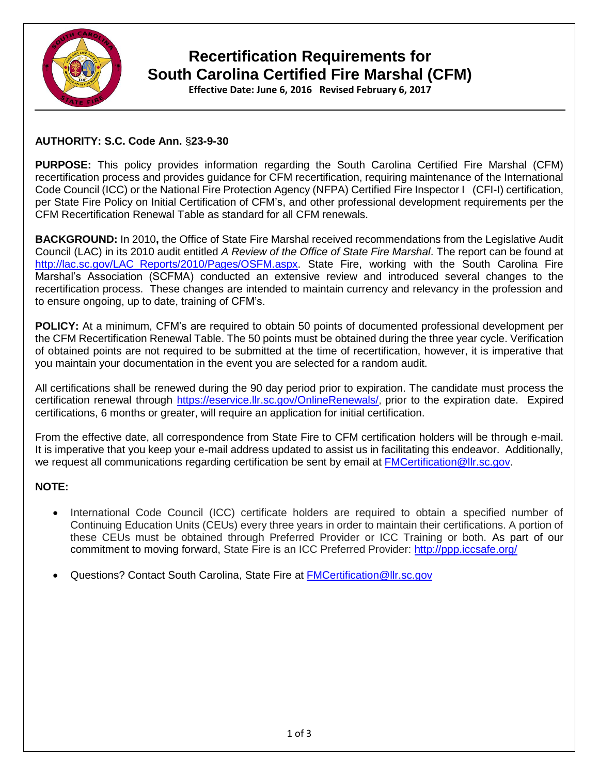

# **Recertification Requirements for South Carolina Certified Fire Marshal (CFM)**

**Effective Date: June 6, 2016 Revised February 6, 2017**

#### **AUTHORITY: S.C. Code Ann.** §**23-9-30**

**PURPOSE:** This policy provides information regarding the South Carolina Certified Fire Marshal (CFM) recertification process and provides guidance for CFM recertification, requiring maintenance of the International Code Council (ICC) or the National Fire Protection Agency (NFPA) Certified Fire Inspector I (CFI-I) certification, per State Fire Policy on Initial Certification of CFM's, and other professional development requirements per the CFM Recertification Renewal Table as standard for all CFM renewals.

**BACKGROUND:** In 2010**,** the Office of State Fire Marshal received recommendations from the Legislative Audit Council (LAC) in its 2010 audit entitled *A Review of the Office of State Fire Marshal*. The report can be found at [http://lac.sc.gov/LAC\\_Reports/2010/Pages/OSFM.aspx.](http://lac.sc.gov/LAC_Reports/2010/Pages/OSFM.aspx) State Fire, working with the South Carolina Fire Marshal's Association (SCFMA) conducted an extensive review and introduced several changes to the recertification process. These changes are intended to maintain currency and relevancy in the profession and to ensure ongoing, up to date, training of CFM's.

**POLICY:** At a minimum, CFM's are required to obtain 50 points of documented professional development per the CFM Recertification Renewal Table. The 50 points must be obtained during the three year cycle. Verification of obtained points are not required to be submitted at the time of recertification, however, it is imperative that you maintain your documentation in the event you are selected for a random audit.

All certifications shall be renewed during the 90 day period prior to expiration. The candidate must process the certification renewal through <https://eservice.llr.sc.gov/OnlineRenewals/>, prior to the expiration date. Expired certifications, 6 months or greater, will require an application for initial certification.

From the effective date, all correspondence from State Fire to CFM certification holders will be through e-mail. It is imperative that you keep your e-mail address updated to assist us in facilitating this endeavor. Additionally, we request all communications regarding certification be sent by email at [FMCertification@llr.sc.gov.](mailto:FMCertification@llr.sc.gov)

#### **NOTE:**

- International Code Council (ICC) certificate holders are required to obtain a specified number of Continuing Education Units (CEUs) every three years in order to maintain their certifications. A portion of these CEUs must be obtained through Preferred Provider or ICC Training or both. As part of our commitment to moving forward, State Fire is an ICC Preferred Provider: <http://ppp.iccsafe.org/>
- Questions? Contact South Carolina, State Fire at **[FMCertification@llr.sc.gov](mailto:FMCertification@llr.sc.gov)**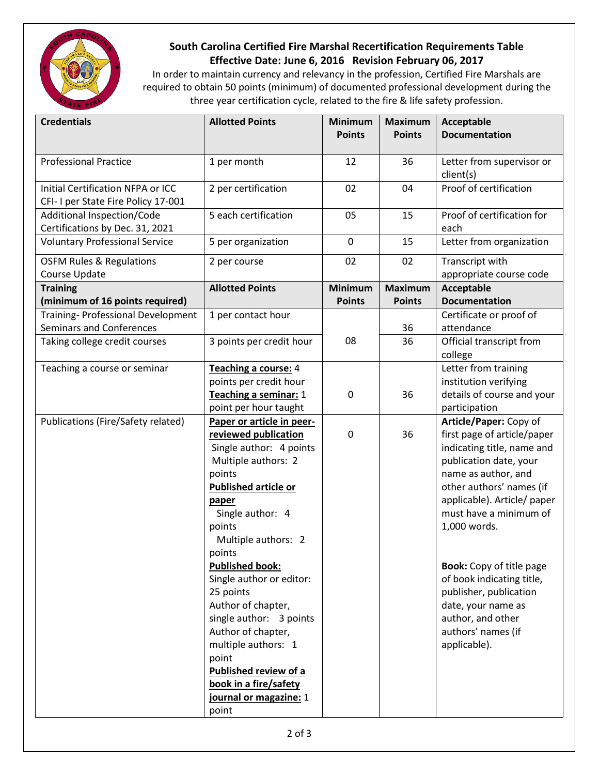

## **South Carolina Certified Fire Marshal Recertification Requirements Table Effective Date: June 6, 2016 Revision February 06, 2017**

In order to maintain currency and relevancy in the profession, Certified Fire Marshals are required to obtain 50 points (minimum) of documented professional development during the three year certification cycle, related to the fire & life safety profession.

| <b>Credentials</b>                                                       | <b>Allotted Points</b>                                                                                                                                                                                                                                                                                                                                                                                                                                                              | Minimum<br><b>Points</b> | <b>Maximum</b><br><b>Points</b> | Acceptable<br><b>Documentation</b>                                                                                                                                                                                                                                                                                                                                                                                   |
|--------------------------------------------------------------------------|-------------------------------------------------------------------------------------------------------------------------------------------------------------------------------------------------------------------------------------------------------------------------------------------------------------------------------------------------------------------------------------------------------------------------------------------------------------------------------------|--------------------------|---------------------------------|----------------------------------------------------------------------------------------------------------------------------------------------------------------------------------------------------------------------------------------------------------------------------------------------------------------------------------------------------------------------------------------------------------------------|
|                                                                          |                                                                                                                                                                                                                                                                                                                                                                                                                                                                                     |                          |                                 |                                                                                                                                                                                                                                                                                                                                                                                                                      |
| <b>Professional Practice</b>                                             | 1 per month                                                                                                                                                                                                                                                                                                                                                                                                                                                                         | 12                       | 36                              | Letter from supervisor or<br>client(s)                                                                                                                                                                                                                                                                                                                                                                               |
| Initial Certification NFPA or ICC<br>CFI- I per State Fire Policy 17-001 | 2 per certification                                                                                                                                                                                                                                                                                                                                                                                                                                                                 | 02                       | 04                              | Proof of certification                                                                                                                                                                                                                                                                                                                                                                                               |
| Additional Inspection/Code<br>Certifications by Dec. 31, 2021            | 5 each certification                                                                                                                                                                                                                                                                                                                                                                                                                                                                | 05                       | 15                              | Proof of certification for<br>each                                                                                                                                                                                                                                                                                                                                                                                   |
| <b>Voluntary Professional Service</b>                                    | 5 per organization                                                                                                                                                                                                                                                                                                                                                                                                                                                                  | $\mathbf 0$              | 15                              | Letter from organization                                                                                                                                                                                                                                                                                                                                                                                             |
| <b>OSFM Rules &amp; Regulations</b><br>Course Update                     | 2 per course                                                                                                                                                                                                                                                                                                                                                                                                                                                                        | 02                       | 02                              | Transcript with<br>appropriate course code                                                                                                                                                                                                                                                                                                                                                                           |
| <b>Training</b><br>(minimum of 16 points required)                       | <b>Allotted Points</b>                                                                                                                                                                                                                                                                                                                                                                                                                                                              | Minimum<br><b>Points</b> | <b>Maximum</b><br><b>Points</b> | Acceptable<br><b>Documentation</b>                                                                                                                                                                                                                                                                                                                                                                                   |
| Training- Professional Development                                       | 1 per contact hour                                                                                                                                                                                                                                                                                                                                                                                                                                                                  |                          |                                 | Certificate or proof of                                                                                                                                                                                                                                                                                                                                                                                              |
| Seminars and Conferences                                                 |                                                                                                                                                                                                                                                                                                                                                                                                                                                                                     |                          | 36                              | attendance                                                                                                                                                                                                                                                                                                                                                                                                           |
| Taking college credit courses                                            | 3 points per credit hour                                                                                                                                                                                                                                                                                                                                                                                                                                                            | 08                       | 36                              | Official transcript from<br>college                                                                                                                                                                                                                                                                                                                                                                                  |
| Teaching a course or seminar                                             | Teaching a course: 4<br>points per credit hour<br>Teaching a seminar: 1<br>point per hour taught                                                                                                                                                                                                                                                                                                                                                                                    | 0                        | 36                              | Letter from training<br>institution verifying<br>details of course and your<br>participation                                                                                                                                                                                                                                                                                                                         |
| Publications (Fire/Safety related)                                       | Paper or article in peer-<br>reviewed publication<br>Single author: 4 points<br>Multiple authors: 2<br>points<br><b>Published article or</b><br>paper<br>Single author: 4<br>points<br>Multiple authors: 2<br>points<br><b>Published book:</b><br>Single author or editor:<br>25 points<br>Author of chapter,<br>single author: 3 points<br>Author of chapter,<br>multiple authors: 1<br>point<br>Published review of a<br>book in a fire/safety<br>journal or magazine: 1<br>point | $\mathbf 0$              | 36                              | Article/Paper: Copy of<br>first page of article/paper<br>indicating title, name and<br>publication date, your<br>name as author, and<br>other authors' names (if<br>applicable). Article/ paper<br>must have a minimum of<br>1,000 words.<br><b>Book:</b> Copy of title page<br>of book indicating title,<br>publisher, publication<br>date, your name as<br>author, and other<br>authors' names (if<br>applicable). |